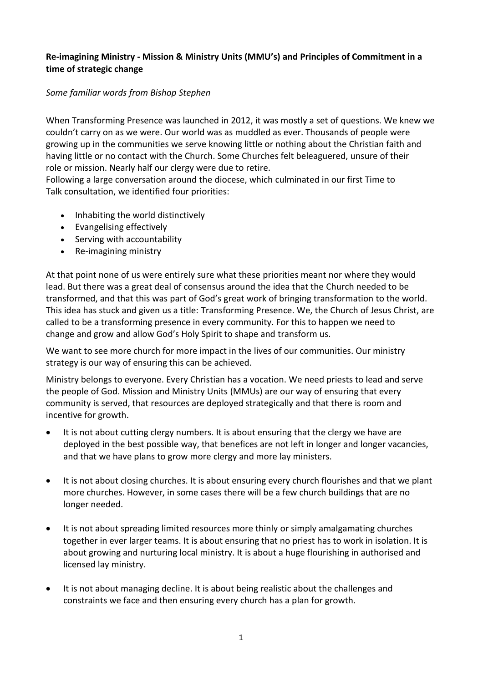# **Re-imagining Ministry - Mission & Ministry Units (MMU's) and Principles of Commitment in a time of strategic change**

## *Some familiar words from Bishop Stephen*

When Transforming Presence was launched in 2012, it was mostly a set of questions. We knew we couldn't carry on as we were. Our world was as muddled as ever. Thousands of people were growing up in the communities we serve knowing little or nothing about the Christian faith and having little or no contact with the Church. Some Churches felt beleaguered, unsure of their role or mission. Nearly half our clergy were due to retire.

Following a large conversation around the diocese, which culminated in our first Time to Talk consultation, we identified four priorities:

- Inhabiting the world distinctively
- Evangelising effectively
- Serving with accountability
- Re-imagining ministry

At that point none of us were entirely sure what these priorities meant nor where they would lead. But there was a great deal of consensus around the idea that the Church needed to be transformed, and that this was part of God's great work of bringing transformation to the world. This idea has stuck and given us a title: Transforming Presence. We, the Church of Jesus Christ, are called to be a transforming presence in every community. For this to happen we need to change and grow and allow God's Holy Spirit to shape and transform us.

We want to see more church for more impact in the lives of our communities. Our ministry strategy is our way of ensuring this can be achieved.

Ministry belongs to everyone. Every Christian has a vocation. We need priests to lead and serve the people of God. Mission and Ministry Units (MMUs) are our way of ensuring that every community is served, that resources are deployed strategically and that there is room and incentive for growth.

- It is not about cutting clergy numbers. It is about ensuring that the clergy we have are deployed in the best possible way, that benefices are not left in longer and longer vacancies, and that we have plans to grow more clergy and more lay ministers.
- It is not about closing churches. It is about ensuring every church flourishes and that we plant more churches. However, in some cases there will be a few church buildings that are no longer needed.
- It is not about spreading limited resources more thinly or simply amalgamating churches together in ever larger teams. It is about ensuring that no priest has to work in isolation. It is about growing and nurturing local ministry. It is about a huge flourishing in authorised and licensed lay ministry.
- It is not about managing decline. It is about being realistic about the challenges and constraints we face and then ensuring every church has a plan for growth.